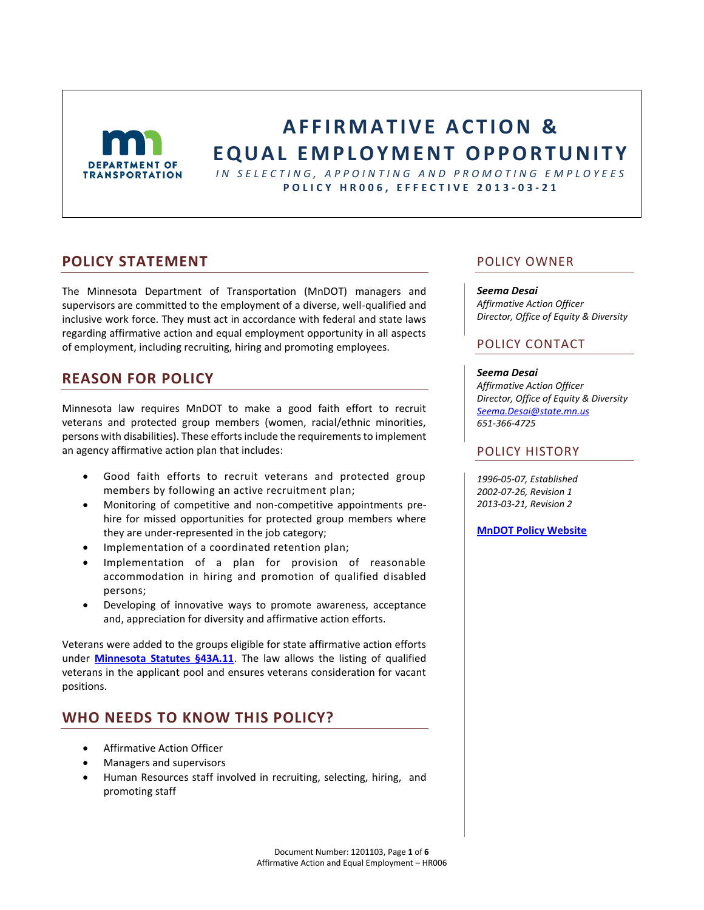

# **AFFIRMATIVE ACTION & E Q U A L E M P L O Y M E N T OP P O R T U N I T Y**

*I N S E L E C T I N G , A P P O I N T I N G A N D P R O M O T I N G E M P L O Y E E S* **P O L I C Y H R 0 0 6 , E F F E C T I V E 201 3 - 0 3 - 2 1**

### **POLICY STATEMENT**

The Minnesota Department of Transportation (MnDOT) managers and supervisors are committed to the employment of a diverse, well-qualified and inclusive work force. They must act in accordance with federal and state laws regarding affirmative action and equal employment opportunity in all aspects of employment, including recruiting, hiring and promoting employees.

# **REASON FOR POLICY**

Minnesota law requires MnDOT to make a good faith effort to recruit veterans and protected group members (women, racial/ethnic minorities, persons with disabilities). These efforts include the requirements to implement an agency affirmative action plan that includes:

- Good faith efforts to recruit veterans and protected group members by following an active recruitment plan;
- Monitoring of competitive and non-competitive appointments prehire for missed opportunities for protected group members where they are under-represented in the job category;
- Implementation of a coordinated retention plan;
- Implementation of a plan for provision of reasonable accommodation in hiring and promotion of qualified disabled persons;
- Developing of innovative ways to promote awareness, acceptance and, appreciation for diversity and affirmative action efforts.

Veterans were added to the groups eligible for state affirmative action efforts under **[Minnesota Statutes §43A.11](https://www.revisor.mn.gov/statutes/?id=43a.11)**. The law allows the listing of qualified veterans in the applicant pool and ensures veterans consideration for vacant positions.

## **WHO NEEDS TO KNOW THIS POLICY?**

- Affirmative Action Officer
- Managers and supervisors
- Human Resources staff involved in recruiting, selecting, hiring, and promoting staff

### POLICY OWNER

#### *Seema Desai*

*Affirmative Action Officer Director, Office of Equity & Diversity*

### POLICY CONTACT

#### *Seema Desai*

*Affirmative Action Officer Director, Office of Equity & Diversity [Seema.Desai@state.mn.us](mailto:Seema.Desai@state.mn.us) 651-366-4725*

### POLICY HISTORY

*1996-05-07, Established 2002-07-26, Revision 1 2013-03-21, Revision 2*

**[MnDOT Policy Website](http://www.dot.state.mn.us/policy/index.html)**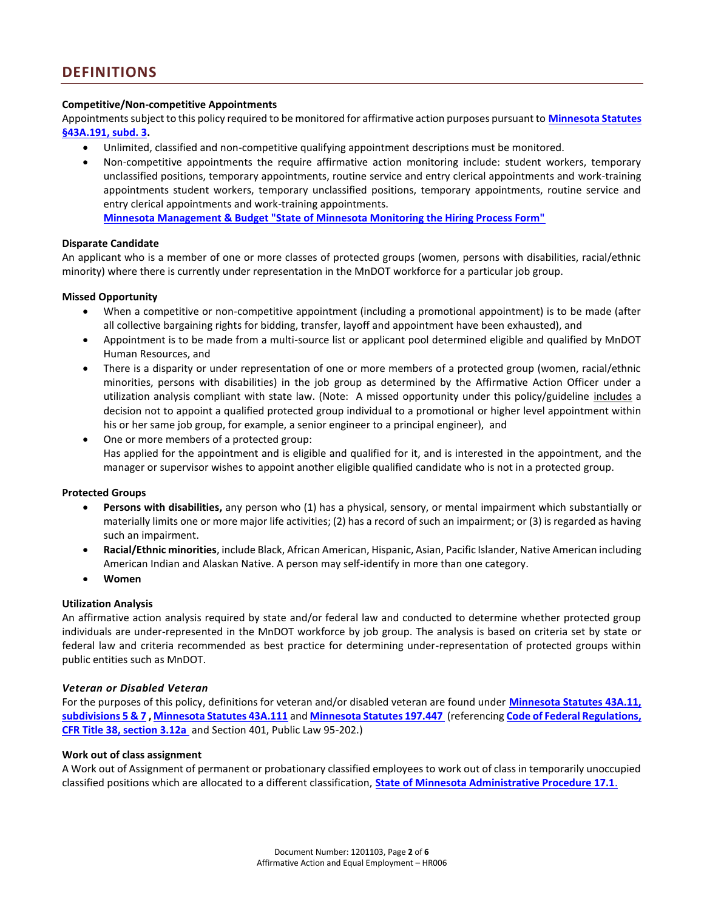#### **Competitive/Non-competitive Appointments**

Appointments subject to this policy required to be monitored for affirmative action purposes pursuant to **[Minnesota Statutes](https://www.revisor.mn.gov/statutes/?id=43A.191)  [§43A.191, subd. 3.](https://www.revisor.mn.gov/statutes/?id=43A.191)** 

- Unlimited, classified and non-competitive qualifying appointment descriptions must be monitored.
- Non-competitive appointments the require affirmative action monitoring include: student workers, temporary unclassified positions, temporary appointments, routine service and entry clerical appointments and work-training appointments student workers, temporary unclassified positions, temporary appointments, routine service and entry clerical appointments and work-training appointments. **[Minnesota Management & Budget "State of Minnesota Monitoring the Hiring Process Form"](http://www.beta.mmb.state.mn.us/doc/hr/staff/staff-hire.pdf)**

#### **Disparate Candidate**

An applicant who is a member of one or more classes of protected groups (women, persons with disabilities, racial/ethnic minority) where there is currently under representation in the MnDOT workforce for a particular job group.

#### **Missed Opportunity**

- When a competitive or non-competitive appointment (including a promotional appointment) is to be made (after all collective bargaining rights for bidding, transfer, layoff and appointment have been exhausted), and
- Appointment is to be made from a multi-source list or applicant pool determined eligible and qualified by MnDOT Human Resources, and
- There is a disparity or under representation of one or more members of a protected group (women, racial/ethnic minorities, persons with disabilities) in the job group as determined by the Affirmative Action Officer under a utilization analysis compliant with state law. (Note: A missed opportunity under this policy/guideline includes a decision not to appoint a qualified protected group individual to a promotional or higher level appointment within his or her same job group, for example, a senior engineer to a principal engineer), and
- One or more members of a protected group: Has applied for the appointment and is eligible and qualified for it, and is interested in the appointment, and the manager or supervisor wishes to appoint another eligible qualified candidate who is not in a protected group.

#### **Protected Groups**

- **Persons with disabilities,** any person who (1) has a physical, sensory, or mental impairment which substantially or materially limits one or more major life activities; (2) has a record of such an impairment; or (3) is regarded as having such an impairment.
- **Racial/Ethnic minorities**, include Black, African American, Hispanic, Asian, Pacific Islander, Native American including American Indian and Alaskan Native. A person may self-identify in more than one category.
- **Women**

#### **Utilization Analysis**

An affirmative action analysis required by state and/or federal law and conducted to determine whether protected group individuals are under-represented in the MnDOT workforce by job group. The analysis is based on criteria set by state or federal law and criteria recommended as best practice for determining under-representation of protected groups within public entities such as MnDOT.

#### *Veteran or Disabled Veteran*

For the purposes of this policy, definitions for veteran and/or disabled veteran are found under **[Minnesota Statutes 43A.11,](https://www.revisor.mn.gov/statutes/?id=43A.11)  [subdivisions 5 & 7](https://www.revisor.mn.gov/statutes/?id=43A.11) [, Minnesota Statutes 43A.111](https://www.revisor.mn.gov/statutes/?id=43A.111)** and **[Minnesota Statutes 197.447](https://www.revisor.mn.gov/statutes/?id=197.447)** (referencing **[Code of Federal Regulations,](http://www.gpo.gov/fdsys/pkg/CFR-2011-title38-vol1/pdf/CFR-2011-title38-vol1-sec3-12a.pdf)  [CFR Title 38, section 3.12a](http://www.gpo.gov/fdsys/pkg/CFR-2011-title38-vol1/pdf/CFR-2011-title38-vol1-sec3-12a.pdf)** an[d Section 401, Public Law 95-202.](http://www.ssa.gov/OP_Home/comp2/F095-202.html))

#### **Work out of class assignment**

A Work out of Assignment of permanent or probationary classified employees to work out of class in temporarily unoccupied classified positions which are allocated to a different classification, **[State of Minnesota Administrative Procedure 17.1](http://www.mmb.state.mn.us/doc/proc/17-1.pdf)**.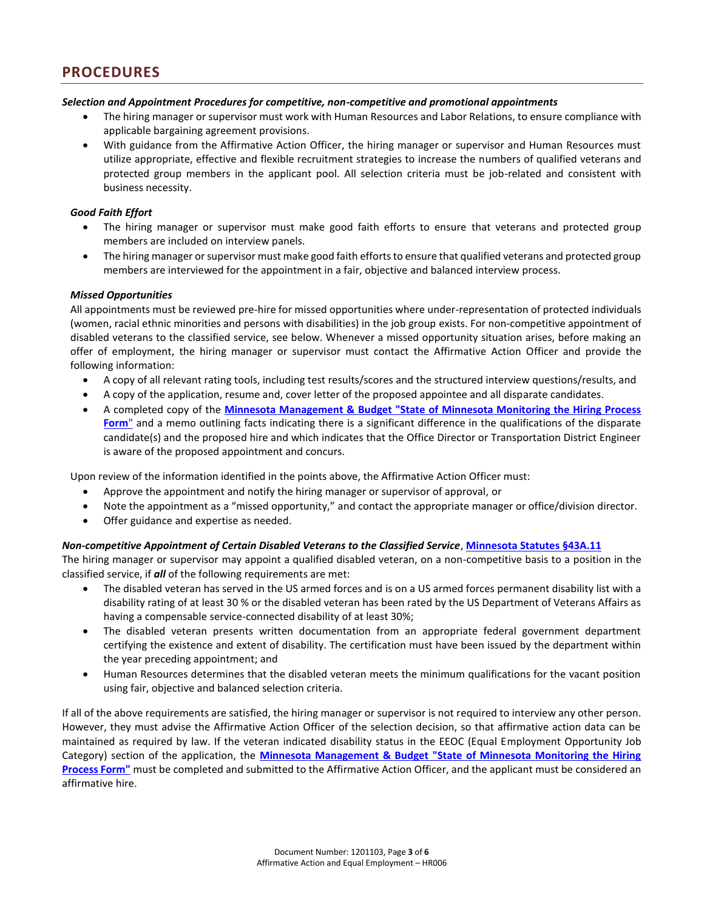#### *Selection and Appointment Procedures for competitive, non-competitive and promotional appointments*

- The hiring manager or supervisor must work with Human Resources and Labor Relations, to ensure compliance with applicable bargaining agreement provisions.
- With guidance from the Affirmative Action Officer, the hiring manager or supervisor and Human Resources must utilize appropriate, effective and flexible recruitment strategies to increase the numbers of qualified veterans and protected group members in the applicant pool. All selection criteria must be job-related and consistent with business necessity.

#### *Good Faith Effort*

- The hiring manager or supervisor must make good faith efforts to ensure that veterans and protected group members are included on interview panels.
- The hiring manager or supervisor must make good faith efforts to ensure that qualified veterans and protected group members are interviewed for the appointment in a fair, objective and balanced interview process.

#### *Missed Opportunities*

All appointments must be reviewed pre-hire for missed opportunities where under-representation of protected individuals (women, racial ethnic minorities and persons with disabilities) in the job group exists. For non-competitive appointment of disabled veterans to the classified service, see below. Whenever a missed opportunity situation arises, before making an offer of employment, the hiring manager or supervisor must contact the Affirmative Action Officer and provide the following information:

- A copy of all relevant rating tools, including test results/scores and the structured interview questions/results, and
- A copy of the application, resume and, cover letter of the proposed appointee and all disparate candidates.
- A completed copy of the **[Minnesota Management & Budget "State of Minnesota Monitoring the Hiring Process](http://www.beta.mmb.state.mn.us/doc/hr/staff/staff-hire.pdf)  [Form](http://www.beta.mmb.state.mn.us/doc/hr/staff/staff-hire.pdf)**" and a memo outlining facts indicating there is a significant difference in the qualifications of the disparate candidate(s) and the proposed hire and which indicates that the Office Director or Transportation District Engineer is aware of the proposed appointment and concurs.

Upon review of the information identified in the points above, the Affirmative Action Officer must:

- Approve the appointment and notify the hiring manager or supervisor of approval, or
- Note the appointment as a "missed opportunity," and contact the appropriate manager or office/division director.
- Offer guidance and expertise as needed.

#### *Non-competitive Appointment of Certain Disabled Veterans to the Classified Service*, **[Minnesota Statutes §43A.11](https://www.revisor.mn.gov/statutes/?id=43a.11)**

The hiring manager or supervisor may appoint a qualified disabled veteran, on a non-competitive basis to a position in the classified service, if *all* of the following requirements are met:

- The disabled veteran has served in the US armed forces and is on a US armed forces permanent disability list with a disability rating of at least 30 % or the disabled veteran has been rated by the US Department of Veterans Affairs as having a compensable service-connected disability of at least 30%;
- The disabled veteran presents written documentation from an appropriate federal government department certifying the existence and extent of disability. The certification must have been issued by the department within the year preceding appointment; and
- Human Resources determines that the disabled veteran meets the minimum qualifications for the vacant position using fair, objective and balanced selection criteria.

If all of the above requirements are satisfied, the hiring manager or supervisor is not required to interview any other person. However, they must advise the Affirmative Action Officer of the selection decision, so that affirmative action data can be maintained as required by law. If the veteran indicated disability status in the EEOC (Equal Employment Opportunity Job Category) section of the application, the **[Minnesota Management & Budget "State of Minnesota Monitoring the Hiring](http://www.beta.mmb.state.mn.us/doc/hr/staff/staff-hire.pdf)  [Process Form"](http://www.beta.mmb.state.mn.us/doc/hr/staff/staff-hire.pdf)** must be completed and submitted to the Affirmative Action Officer, and the applicant must be considered an affirmative hire.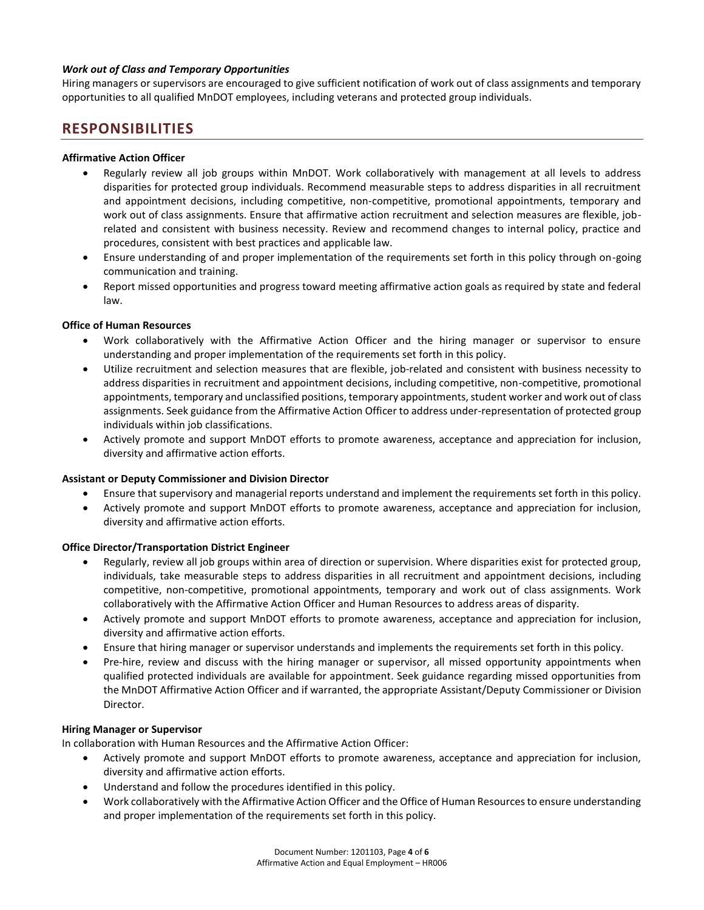#### *Work out of Class and Temporary Opportunities*

Hiring managers or supervisors are encouraged to give sufficient notification of work out of class assignments and temporary opportunities to all qualified MnDOT employees, including veterans and protected group individuals.

### **RESPONSIBILITIES**

#### **Affirmative Action Officer**

- Regularly review all job groups within MnDOT. Work collaboratively with management at all levels to address disparities for protected group individuals. Recommend measurable steps to address disparities in all recruitment and appointment decisions, including competitive, non-competitive, promotional appointments, temporary and work out of class assignments. Ensure that affirmative action recruitment and selection measures are flexible, jobrelated and consistent with business necessity. Review and recommend changes to internal policy, practice and procedures, consistent with best practices and applicable law.
- Ensure understanding of and proper implementation of the requirements set forth in this policy through on-going communication and training.
- Report missed opportunities and progress toward meeting affirmative action goals as required by state and federal law.

#### **Office of Human Resources**

- Work collaboratively with the Affirmative Action Officer and the hiring manager or supervisor to ensure understanding and proper implementation of the requirements set forth in this policy.
- Utilize recruitment and selection measures that are flexible, job-related and consistent with business necessity to address disparities in recruitment and appointment decisions, including competitive, non-competitive, promotional appointments, temporary and unclassified positions, temporary appointments, student worker and work out of class assignments. Seek guidance from the Affirmative Action Officer to address under-representation of protected group individuals within job classifications.
- Actively promote and support MnDOT efforts to promote awareness, acceptance and appreciation for inclusion, diversity and affirmative action efforts.

#### **Assistant or Deputy Commissioner and Division Director**

- Ensure that supervisory and managerial reports understand and implement the requirements set forth in this policy.
- Actively promote and support MnDOT efforts to promote awareness, acceptance and appreciation for inclusion, diversity and affirmative action efforts.

#### **Office Director/Transportation District Engineer**

- Regularly, review all job groups within area of direction or supervision. Where disparities exist for protected group, individuals, take measurable steps to address disparities in all recruitment and appointment decisions, including competitive, non-competitive, promotional appointments, temporary and work out of class assignments. Work collaboratively with the Affirmative Action Officer and Human Resources to address areas of disparity.
- Actively promote and support MnDOT efforts to promote awareness, acceptance and appreciation for inclusion, diversity and affirmative action efforts.
- Ensure that hiring manager or supervisor understands and implements the requirements set forth in this policy.
- Pre-hire, review and discuss with the hiring manager or supervisor, all missed opportunity appointments when qualified protected individuals are available for appointment. Seek guidance regarding missed opportunities from the MnDOT Affirmative Action Officer and if warranted, the appropriate Assistant/Deputy Commissioner or Division Director.

#### **Hiring Manager or Supervisor**

In collaboration with Human Resources and the Affirmative Action Officer:

- Actively promote and support MnDOT efforts to promote awareness, acceptance and appreciation for inclusion, diversity and affirmative action efforts.
- Understand and follow the procedures identified in this policy.
- Work collaboratively with the Affirmative Action Officer and the Office of Human Resources to ensure understanding and proper implementation of the requirements set forth in this policy.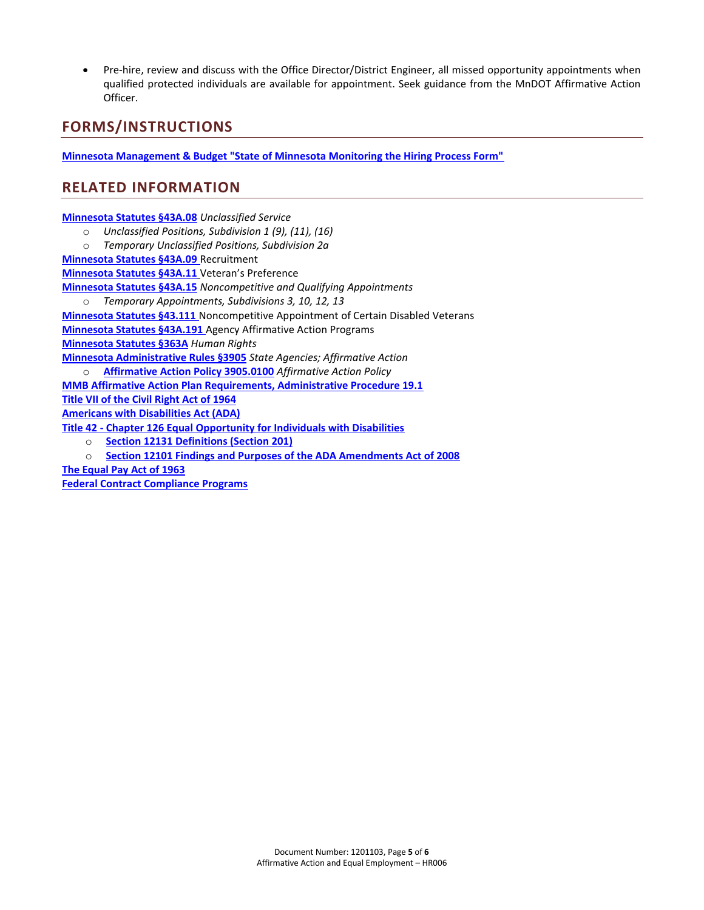Pre-hire, review and discuss with the Office Director/District Engineer, all missed opportunity appointments when qualified protected individuals are available for appointment. Seek guidance from the MnDOT Affirmative Action Officer.

# **FORMS/INSTRUCTIONS**

**[Minnesota Management & Budget "State of Minnesota Monitoring the Hiring Process Form"](http://www.beta.mmb.state.mn.us/doc/hr/staff/staff-hire.pdf)**

## **RELATED INFORMATION**

**[Minnesota Statutes §43A.08](https://www.revisor.mn.gov/statutes/?id=43A.08)** *Unclassified Service*

- o *Unclassified Positions, Subdivision 1 (9), (11), (16)*
- o *Temporary Unclassified Positions, Subdivision 2a*

**[Minnesota Statutes §43A.09](https://www.revisor.mn.gov/statutes/?id=43A.09)** Recruitment

**[Minnesota Statutes §43A.11](https://www.revisor.mn.gov/statutes/?id=43A.11)** Veteran's Preference

**[Minnesota Statutes §43A.15](https://www.revisor.mn.gov/statutes/?id=43A.15)** *Noncompetitive and Qualifying Appointments*

o *Temporary Appointments, Subdivisions 3, 10, 12, 13*

**[Minnesota Statutes §43.111](https://www.revisor.mn.gov/statutes/?id=43A.111)** Noncompetitive Appointment of Certain Disabled Veterans

**[Minnesota Statutes §43A.191](https://www.revisor.mn.gov/statutes/?id=43A.191)** Agency Affirmative Action Programs

**[Minnesota Statutes §363A](https://www.revisor.mn.gov/statutes/?id=363A)** *Human Rights*

**[Minnesota Administrative Rules §3905](https://www.revisor.mn.gov/rules/?id=3905&view=chapter)** *State Agencies; Affirmative Action*

o **[Affirmative Action Policy 3905.0100](https://www.revisor.mn.gov/rules/?id=3905&view=chapter)** *Affirmative Action Policy*

**[MMB Affirmative Action Plan Requirements, Administrative Procedure 19.1](https://mn.gov/mmb/assets/Affirmative-Action-Plan-Requirements-4-28-05_tcm1059-126305.pdf) [Title VII of the Civil Right Act of 1964](http://www.google.com/url?sa=t&rct=j&q=&esrc=s&frm=1&source=web&cd=1&cad=rja&uact=8&ved=0CB4QFjAA&url=http%3A%2F%2Fwww.eeoc.gov%2Flaws%2Fstatutes%2Ftitlevii.cfm&ei=T5EYVLHYLsSryASRwoD4Dg&usg=AFQjCNGtuo9k-m55MhSNLxCxV9UYjg8C6g&bvm=bv.75097201,d.aWw)**

**[Americans with Disabilities Act \(ADA\)](http://www.dol.gov/dol/topic/disability/ada.htm)** 

**Title 42 - [Chapter 126 Equal Opportunity for Individuals with Disabilities](http://www.ada.gov/pubs/adastatute08.htm#12131)**

- o **[Section 12131 Definitions \(Section 201\)](http://www.ada.gov/pubs/adastatute08.htm#12131)**
- o **[Section 12101 Findings and Purposes of the ADA Amendments Act of 2008](http://www.ada.gov/pubs/adastatute08.htm#12101note)**

**[The Equal Pay Act of 1963](http://www.eeoc.gov/laws/statutes/epa.cfm)**

**[Federal Contract Compliance Programs](http://www.dol.gov/elaws/ofccp.htm)**